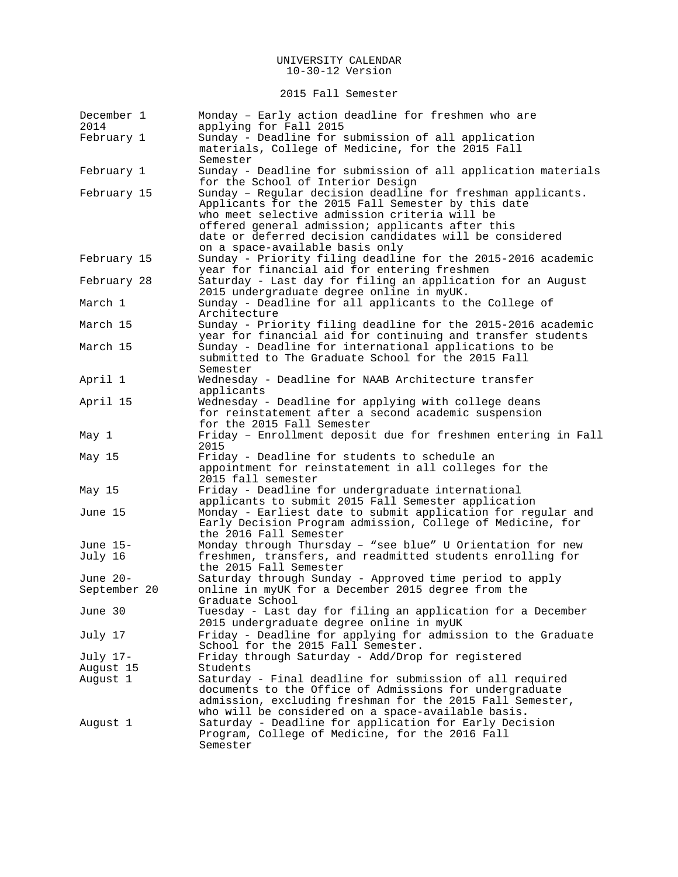2015 Fall Semester

| December 1<br>2014    | Monday - Early action deadline for freshmen who are<br>applying for Fall 2015                                                                                                                                                                                                                                        |
|-----------------------|----------------------------------------------------------------------------------------------------------------------------------------------------------------------------------------------------------------------------------------------------------------------------------------------------------------------|
| February 1            | Sunday - Deadline for submission of all application<br>materials, College of Medicine, for the 2015 Fall<br>Semester                                                                                                                                                                                                 |
| February 1            | Sunday - Deadline for submission of all application materials<br>for the School of Interior Design                                                                                                                                                                                                                   |
| February 15           | Sunday - Regular decision deadline for freshman applicants.<br>Applicants for the 2015 Fall Semester by this date<br>who meet selective admission criteria will be<br>offered general admission; applicants after this<br>date or deferred decision candidates will be considered<br>on a space-available basis only |
| February 15           | Sunday - Priority filing deadline for the 2015-2016 academic<br>year for financial aid for entering freshmen                                                                                                                                                                                                         |
| February 28           | Saturday - Last day for filing an application for an August<br>2015 undergraduate degree online in myUK.                                                                                                                                                                                                             |
| March 1               | Sunday - Deadline for all applicants to the College of<br>Architecture                                                                                                                                                                                                                                               |
| March 15              | Sunday - Priority filing deadline for the 2015-2016 academic<br>year for financial aid for continuing and transfer students                                                                                                                                                                                          |
| March 15              | Sunday - Deadline for international applications to be<br>submitted to The Graduate School for the 2015 Fall<br>Semester                                                                                                                                                                                             |
| April 1               | Wednesday - Deadline for NAAB Architecture transfer<br>applicants                                                                                                                                                                                                                                                    |
| April 15              | Wednesday - Deadline for applying with college deans<br>for reinstatement after a second academic suspension<br>for the 2015 Fall Semester                                                                                                                                                                           |
| May 1                 | Friday - Enrollment deposit due for freshmen entering in Fall<br>2015                                                                                                                                                                                                                                                |
| May 15                | Friday - Deadline for students to schedule an<br>appointment for reinstatement in all colleges for the<br>2015 fall semester                                                                                                                                                                                         |
| May 15                | Friday - Deadline for undergraduate international<br>applicants to submit 2015 Fall Semester application                                                                                                                                                                                                             |
| June 15               | Monday - Earliest date to submit application for regular and<br>Early Decision Program admission, College of Medicine, for<br>the 2016 Fall Semester                                                                                                                                                                 |
| June 15-<br>July 16   | Monday through Thursday - "see blue" U Orientation for new<br>freshmen, transfers, and readmitted students enrolling for<br>the 2015 Fall Semester                                                                                                                                                                   |
| June 20-              | Saturday through Sunday - Approved time period to apply                                                                                                                                                                                                                                                              |
| September 20          | online in myUK for a December 2015 degree from the<br>Graduate School                                                                                                                                                                                                                                                |
| June 30               | Tuesday - Last day for filing an application for a December<br>2015 undergraduate degree online in myUK                                                                                                                                                                                                              |
| July 17               | Friday - Deadline for applying for admission to the Graduate<br>School for the 2015 Fall Semester.                                                                                                                                                                                                                   |
| July 17-              | Friday through Saturday - Add/Drop for registered                                                                                                                                                                                                                                                                    |
| August 15<br>August 1 | Students<br>Saturday - Final deadline for submission of all required                                                                                                                                                                                                                                                 |
|                       | documents to the Office of Admissions for undergraduate<br>admission, excluding freshman for the 2015 Fall Semester,<br>who will be considered on a space-available basis.                                                                                                                                           |
| August 1              | Saturday - Deadline for application for Early Decision<br>Program, College of Medicine, for the 2016 Fall<br>Semester                                                                                                                                                                                                |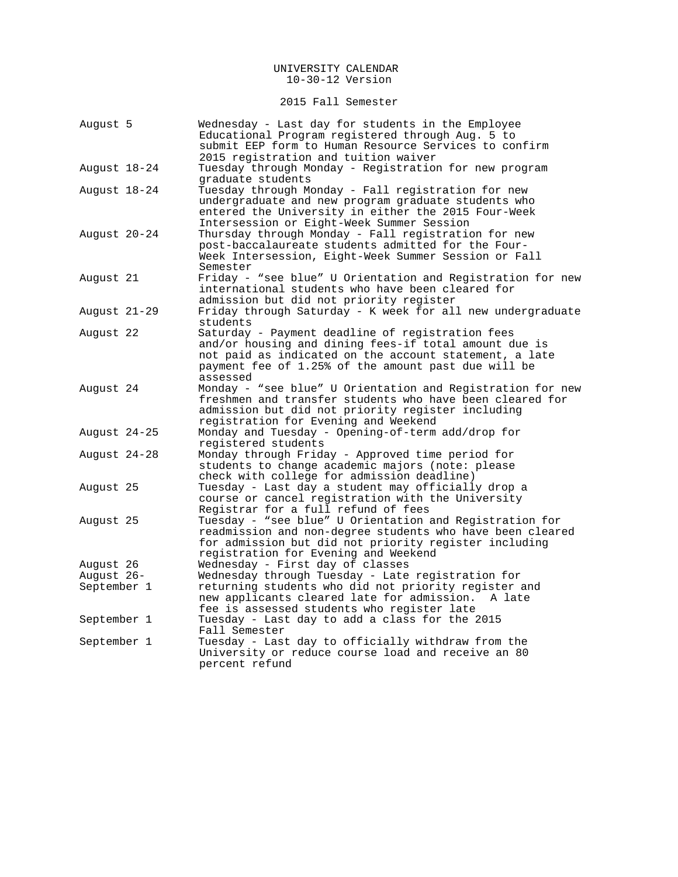2015 Fall Semester

| August 5     | Wednesday - Last day for students in the Employee<br>Educational Program registered through Aug. 5 to<br>submit EEP form to Human Resource Services to confirm                                                                         |
|--------------|----------------------------------------------------------------------------------------------------------------------------------------------------------------------------------------------------------------------------------------|
|              | 2015 registration and tuition waiver                                                                                                                                                                                                   |
| August 18-24 | Tuesday through Monday - Registration for new program<br>graduate students                                                                                                                                                             |
| August 18-24 | Tuesday through Monday - Fall registration for new<br>undergraduate and new program graduate students who<br>entered the University in either the 2015 Four-Week<br>Intersession or Eight-Week Summer Session                          |
| August 20-24 | Thursday through Monday - Fall registration for new<br>post-baccalaureate students admitted for the Four-<br>Week Intersession, Eight-Week Summer Session or Fall<br>Semester                                                          |
| Auqust 21    | Friday - "see blue" U Orientation and Registration for new<br>international students who have been cleared for<br>admission but did not priority register                                                                              |
| August 21-29 | Friday through Saturday - K week for all new undergraduate<br>students                                                                                                                                                                 |
| August 22    | Saturday - Payment deadline of registration fees<br>and/or housing and dining fees-if total amount due is<br>not paid as indicated on the account statement, a late<br>payment fee of 1.25% of the amount past due will be<br>assessed |
| August 24    | Monday - "see blue" U Orientation and Registration for new<br>freshmen and transfer students who have been cleared for<br>admission but did not priority register including<br>registration for Evening and Weekend                    |
| August 24-25 | Monday and Tuesday - Opening-of-term add/drop for<br>registered students                                                                                                                                                               |
| August 24-28 | Monday through Friday - Approved time period for<br>students to change academic majors (note: please<br>check with college for admission deadline)                                                                                     |
| August 25    | Tuesday - Last day a student may officially drop a<br>course or cancel registration with the University<br>Registrar for a full refund of fees                                                                                         |
| August 25    | Tuesday - "see blue" U Orientation and Registration for<br>readmission and non-degree students who have been cleared<br>for admission but did not priority register including<br>registration for Evening and Weekend                  |
| August 26    | Wednesday - First day of classes                                                                                                                                                                                                       |
| August 26-   | Wednesday through Tuesday - Late registration for                                                                                                                                                                                      |
| September 1  | returning students who did not priority register and<br>new applicants cleared late for admission.<br>A late<br>fee is assessed students who register late                                                                             |
| September 1  | Tuesday - Last day to add a class for the 2015<br>Fall Semester                                                                                                                                                                        |
| September 1  | Tuesday - Last day to officially withdraw from the<br>University or reduce course load and receive an 80<br>percent refund                                                                                                             |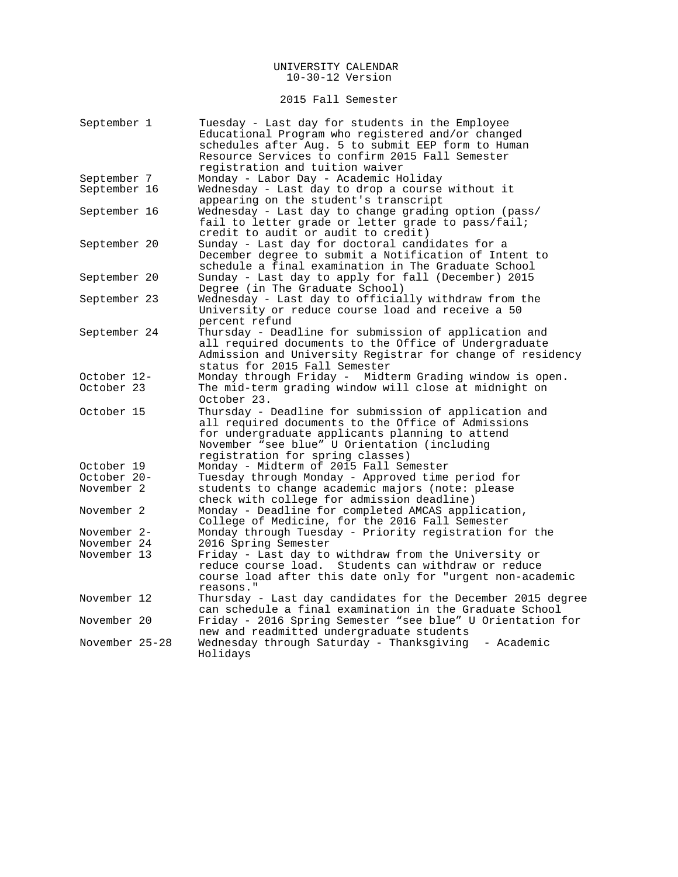### 2015 Fall Semester

| September 1                | Tuesday - Last day for students in the Employee<br>Educational Program who registered and/or changed<br>schedules after Aug. 5 to submit EEP form to Human |
|----------------------------|------------------------------------------------------------------------------------------------------------------------------------------------------------|
|                            | Resource Services to confirm 2015 Fall Semester                                                                                                            |
|                            | registration and tuition waiver                                                                                                                            |
| September 7                | Monday - Labor Day - Academic Holiday                                                                                                                      |
| September 16               | Wednesday - Last day to drop a course without it<br>appearing on the student's transcript                                                                  |
| September 16               | Wednesday - Last day to change grading option (pass/                                                                                                       |
|                            | fail to letter grade or letter grade to pass/fail;<br>credit to audit or audit to credit)                                                                  |
| September 20               | Sunday - Last day for doctoral candidates for a                                                                                                            |
|                            | December degree to submit a Notification of Intent to<br>schedule a final examination in The Graduate School                                               |
| September 20               | Sunday - Last day to apply for fall (December) 2015                                                                                                        |
|                            | Degree (in The Graduate School)                                                                                                                            |
| September 23               | Wednesday - Last day to officially withdraw from the                                                                                                       |
|                            | University or reduce course load and receive a 50                                                                                                          |
|                            | percent refund                                                                                                                                             |
| September 24               | Thursday - Deadline for submission of application and                                                                                                      |
|                            | all required documents to the Office of Undergraduate                                                                                                      |
|                            | Admission and University Registrar for change of residency                                                                                                 |
|                            | status for 2015 Fall Semester                                                                                                                              |
| October 12-                | Monday through Friday - Midterm Grading window is open.                                                                                                    |
| October 23                 | The mid-term grading window will close at midnight on                                                                                                      |
|                            | October 23.                                                                                                                                                |
| October 15                 | Thursday - Deadline for submission of application and                                                                                                      |
|                            | all required documents to the Office of Admissions<br>for undergraduate applicants planning to attend                                                      |
|                            | November "see blue" U Orientation (including                                                                                                               |
|                            | registration for spring classes)                                                                                                                           |
| October 19                 | Monday - Midterm of 2015 Fall Semester                                                                                                                     |
| October 20-                | Tuesday through Monday - Approved time period for                                                                                                          |
| November 2                 | students to change academic majors (note: please                                                                                                           |
|                            | check with college for admission deadline)                                                                                                                 |
| November 2                 | Monday - Deadline for completed AMCAS application,                                                                                                         |
|                            | College of Medicine, for the 2016 Fall Semester                                                                                                            |
| November 2-                | Monday through Tuesday - Priority registration for the                                                                                                     |
| November 24<br>November 13 | 2016 Spring Semester<br>Friday - Last day to withdraw from the University or                                                                               |
|                            | Students can withdraw or reduce<br>reduce course load.                                                                                                     |
|                            | course load after this date only for "urgent non-academic                                                                                                  |
|                            | reasons."                                                                                                                                                  |
| November 12                | Thursday - Last day candidates for the December 2015 degree                                                                                                |
|                            | can schedule a final examination in the Graduate School                                                                                                    |
| November 20                | Friday - 2016 Spring Semester "see blue" U Orientation for                                                                                                 |
|                            | new and readmitted undergraduate students                                                                                                                  |
| November 25-28             | Wednesday through Saturday - Thanksgiving<br>- Academic<br>Holidays                                                                                        |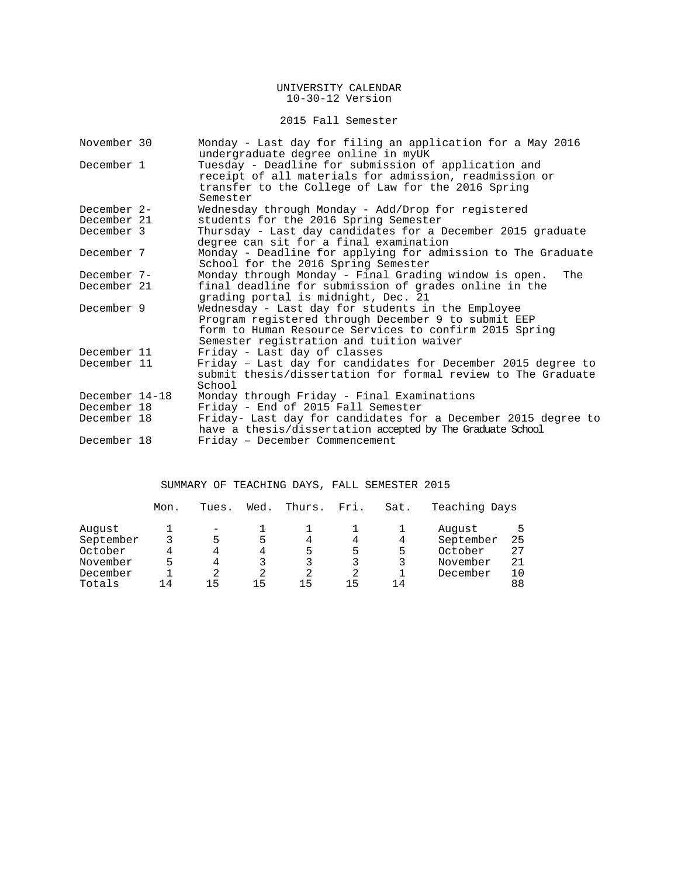## 2015 Fall Semester

| November 30                   | Monday - Last day for filing an application for a May 2016<br>undergraduate degree online in myUK                                                                                                              |
|-------------------------------|----------------------------------------------------------------------------------------------------------------------------------------------------------------------------------------------------------------|
| December 1                    | Tuesday - Deadline for submission of application and<br>receipt of all materials for admission, readmission or<br>transfer to the College of Law for the 2016 Spring<br>Semester                               |
| December 2-                   | Wednesday through Monday - Add/Drop for registered                                                                                                                                                             |
| December 21                   | students for the 2016 Spring Semester                                                                                                                                                                          |
| December 3                    | Thursday - Last day candidates for a December 2015 graduate<br>degree can sit for a final examination                                                                                                          |
| December 7                    | Monday - Deadline for applying for admission to The Graduate<br>School for the 2016 Spring Semester                                                                                                            |
| December 7-                   | Monday through Monday - Final Grading window is open.<br>The                                                                                                                                                   |
| December 21                   | final deadline for submission of grades online in the<br>grading portal is midnight, Dec. 21                                                                                                                   |
| December 9                    | Wednesday - Last day for students in the Employee<br>Program registered through December 9 to submit EEP<br>form to Human Resource Services to confirm 2015 Spring<br>Semester registration and tuition waiver |
| December 11                   | Friday - Last day of classes                                                                                                                                                                                   |
| December 11                   | Friday - Last day for candidates for December 2015 degree to<br>submit thesis/dissertation for formal review to The Graduate<br>School                                                                         |
| December 14-18<br>December 18 | Monday through Friday - Final Examinations<br>Friday - End of 2015 Fall Semester                                                                                                                               |
| December 18                   | Friday- Last day for candidates for a December 2015 degree to<br>have a thesis/dissertation accepted by The Graduate School                                                                                    |
| December 18                   | Friday - December Commencement                                                                                                                                                                                 |

# SUMMARY OF TEACHING DAYS, FALL SEMESTER 2015

|           | Mon. | Tues. | Wed. | Thurs. | Fri. | Sat. | Teaching Days |    |
|-----------|------|-------|------|--------|------|------|---------------|----|
| August    |      |       |      |        |      |      | August        | 5  |
| September |      |       | 5    | 4      |      | 4    | September     | 25 |
| October   |      | 4     | 4    | 5      | 5    | 5    | October       | 27 |
| November  |      | 4     |      |        |      |      | November      | 21 |
| December  |      |       | 2    | 2      | 2    |      | December      | 10 |
| Totals    | 14   | 15    | 15   | 15     | 15   | 14   |               | 88 |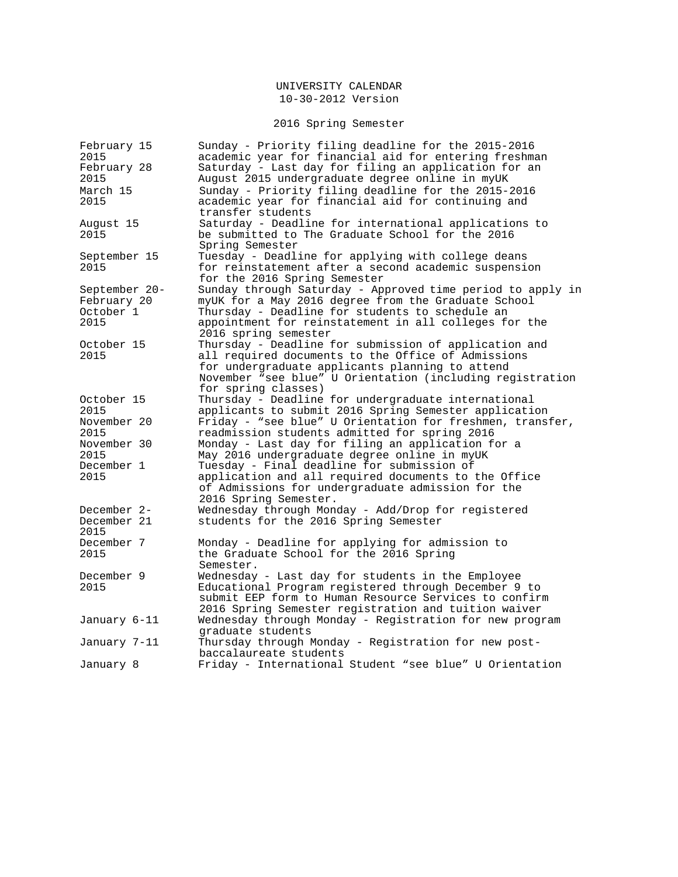# 2016 Spring Semester

| February 15   | Sunday - Priority filing deadline for the 2015-2016        |
|---------------|------------------------------------------------------------|
| 2015          | academic year for financial aid for entering freshman      |
| February 28   | Saturday - Last day for filing an application for an       |
| 2015          | August 2015 undergraduate degree online in myUK            |
| March 15      | Sunday - Priority filing deadline for the 2015-2016        |
| 2015          | academic year for financial aid for continuing and         |
|               | transfer students                                          |
| August 15     | Saturday - Deadline for international applications to      |
| 2015          | be submitted to The Graduate School for the 2016           |
|               | Spring Semester                                            |
| September 15  | Tuesday - Deadline for applying with college deans         |
| 2015          | for reinstatement after a second academic suspension       |
|               | for the 2016 Spring Semester                               |
| September 20- | Sunday through Saturday - Approved time period to apply in |
| February 20   | myUK for a May 2016 degree from the Graduate School        |
| October 1     | Thursday - Deadline for students to schedule an            |
| 2015          | appointment for reinstatement in all colleges for the      |
|               | 2016 spring semester                                       |
| October 15    | Thursday - Deadline for submission of application and      |
| 2015          | all required documents to the Office of Admissions         |
|               |                                                            |
|               | for undergraduate applicants planning to attend            |
|               | November "see blue" U Orientation (including registration  |
|               | for spring classes)                                        |
| October 15    | Thursday - Deadline for undergraduate international        |
| 2015          | applicants to submit 2016 Spring Semester application      |
| November 20   | Friday - "see blue" U Orientation for freshmen, transfer,  |
| 2015          | readmission students admitted for spring 2016              |
| November 30   | Monday - Last day for filing an application for a          |
| 2015          | May 2016 undergraduate degree online in myUK               |
| December 1    | Tuesday - Final deadline for submission of                 |
| 2015          | application and all required documents to the Office       |
|               | of Admissions for undergraduate admission for the          |
|               | 2016 Spring Semester.                                      |
| December 2-   | Wednesday through Monday - Add/Drop for registered         |
| December 21   | students for the 2016 Spring Semester                      |
| 2015          |                                                            |
| December 7    | Monday - Deadline for applying for admission to            |
| 2015          | the Graduate School for the 2016 Spring                    |
|               | Semester.                                                  |
| December 9    | Wednesday - Last day for students in the Employee          |
| 2015          | Educational Program registered through December 9 to       |
|               | submit EEP form to Human Resource Services to confirm      |
|               | 2016 Spring Semester registration and tuition waiver       |
| January 6-11  | Wednesday through Monday - Registration for new program    |
|               | graduate students                                          |
| January 7-11  | Thursday through Monday - Registration for new post-       |
|               | baccalaureate students                                     |
| January 8     | Friday - International Student "see blue" U Orientation    |
|               |                                                            |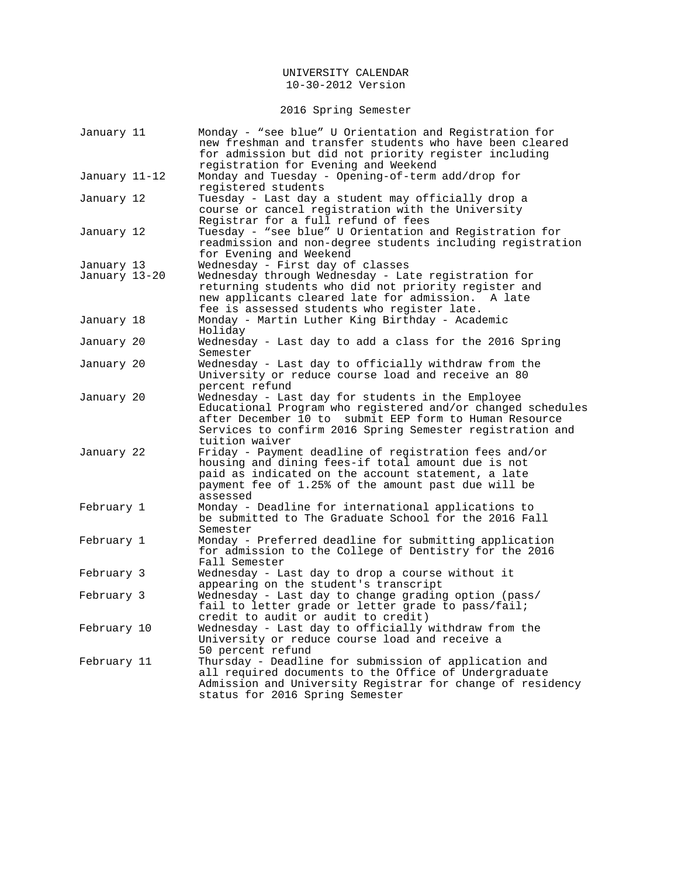2016 Spring Semester

| January 11    | Monday - "see blue" U Orientation and Registration for<br>new freshman and transfer students who have been cleared<br>for admission but did not priority register including                                                                            |
|---------------|--------------------------------------------------------------------------------------------------------------------------------------------------------------------------------------------------------------------------------------------------------|
| January 11-12 | registration for Evening and Weekend<br>Monday and Tuesday - Opening-of-term add/drop for<br>registered students                                                                                                                                       |
| January 12    | Tuesday - Last day a student may officially drop a<br>course or cancel registration with the University<br>Registrar for a full refund of fees                                                                                                         |
| January 12    | Tuesday - "see blue" U Orientation and Registration for<br>readmission and non-degree students including registration<br>for Evening and Weekend                                                                                                       |
| January 13    | Wednesday - First day of classes                                                                                                                                                                                                                       |
| January 13–20 | Wednesday through Wednesday - Late registration for<br>returning students who did not priority register and<br>new applicants cleared late for admission.<br>A late<br>fee is assessed students who register late.                                     |
| January 18    | Monday - Martin Luther King Birthday - Academic<br>Holiday                                                                                                                                                                                             |
| January 20    | Wednesday - Last day to add a class for the 2016 Spring<br>Semester                                                                                                                                                                                    |
| January 20    | Wednesday - Last day to officially withdraw from the<br>University or reduce course load and receive an 80<br>percent refund                                                                                                                           |
| January 20    | Wednesday - Last day for students in the Employee<br>Educational Program who registered and/or changed schedules<br>after December 10 to submit EEP form to Human Resource<br>Services to confirm 2016 Spring Semester registration and                |
| January 22    | tuition waiver<br>Friday - Payment deadline of registration fees and/or<br>housing and dining fees-if total amount due is not<br>paid as indicated on the account statement, a late<br>payment fee of 1.25% of the amount past due will be<br>assessed |
| February 1    | Monday - Deadline for international applications to<br>be submitted to The Graduate School for the 2016 Fall<br>Semester                                                                                                                               |
| February 1    | Monday - Preferred deadline for submitting application<br>for admission to the College of Dentistry for the 2016<br>Fall Semester                                                                                                                      |
| February 3    | Wednesday - Last day to drop a course without it<br>appearing on the student's transcript                                                                                                                                                              |
| February 3    | Wednesday - Last day to change grading option (pass/<br>fail to letter grade or letter grade to pass/fail;<br>credit to audit or audit to credit)                                                                                                      |
| February 10   | Wednesday - Last day to officially withdraw from the<br>University or reduce course load and receive a<br>50 percent refund                                                                                                                            |
| February 11   | Thursday - Deadline for submission of application and<br>all required documents to the Office of Undergraduate<br>Admission and University Registrar for change of residency<br>status for 2016 Spring Semester                                        |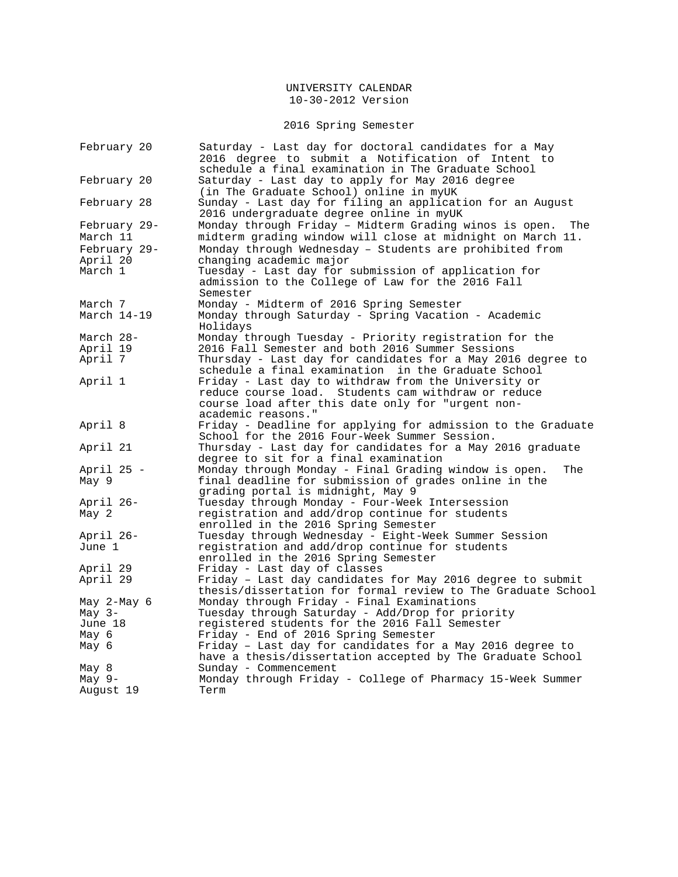# 2016 Spring Semester

| February 20  | Saturday - Last day for doctoral candidates for a May<br>2016 degree to submit a Notification of Intent to            |
|--------------|-----------------------------------------------------------------------------------------------------------------------|
|              | schedule a final examination in The Graduate School                                                                   |
| February 20  | Saturday - Last day to apply for May 2016 degree<br>(in The Graduate School) online in myUK                           |
| February 28  | Sunday - Last day for filing an application for an August<br>2016 undergraduate degree online in myUK                 |
| February 29- | Monday through Friday - Midterm Grading winos is open.<br>The                                                         |
| March 11     | midterm grading window will close at midnight on March 11.                                                            |
| February 29- | Monday through Wednesday - Students are prohibited from                                                               |
| April 20     | changing academic major                                                                                               |
| March 1      | Tuesday - Last day for submission of application for<br>admission to the College of Law for the 2016 Fall<br>Semester |
| March 7      | Monday - Midterm of 2016 Spring Semester                                                                              |
| March 14-19  | Monday through Saturday - Spring Vacation - Academic<br>Holidays                                                      |
| March 28-    | Monday through Tuesday - Priority registration for the                                                                |
| April 19     | 2016 Fall Semester and both 2016 Summer Sessions                                                                      |
| April 7      | Thursday - Last day for candidates for a May 2016 degree to                                                           |
|              | schedule a final examination in the Graduate School                                                                   |
| April 1      | Friday - Last day to withdraw from the University or                                                                  |
|              | reduce course load. Students cam withdraw or reduce                                                                   |
|              | course load after this date only for "urgent non-                                                                     |
|              | academic reasons."                                                                                                    |
| April 8      | Friday - Deadline for applying for admission to the Graduate                                                          |
|              | School for the 2016 Four-Week Summer Session.                                                                         |
| April 21     | Thursday - Last day for candidates for a May 2016 graduate                                                            |
|              | degree to sit for a final examination                                                                                 |
| April 25 -   | Monday through Monday - Final Grading window is open.<br>The                                                          |
| May 9        | final deadline for submission of grades online in the<br>grading portal is midnight, May 9                            |
| April 26-    | Tuesday through Monday - Four-Week Intersession                                                                       |
| May 2        | registration and add/drop continue for students                                                                       |
|              | enrolled in the 2016 Spring Semester                                                                                  |
| April 26-    | Tuesday through Wednesday - Eight-Week Summer Session                                                                 |
| June 1       | registration and add/drop continue for students                                                                       |
|              | enrolled in the 2016 Spring Semester                                                                                  |
| April 29     | Friday - Last day of classes                                                                                          |
| April 29     | Friday - Last day candidates for May 2016 degree to submit                                                            |
|              | thesis/dissertation for formal review to The Graduate School                                                          |
| May 2-May 6  | Monday through Friday - Final Examinations                                                                            |
| May $3-$     | Tuesday through Saturday - Add/Drop for priority                                                                      |
| June 18      | registered students for the 2016 Fall Semester                                                                        |
| Мау б        | Friday - End of 2016 Spring Semester                                                                                  |
| May 6        | Friday - Last day for candidates for a May 2016 degree to                                                             |
|              | have a thesis/dissertation accepted by The Graduate School                                                            |
| May 8        | Sunday - Commencement                                                                                                 |
| May 9-       | Monday through Friday - College of Pharmacy 15-Week Summer                                                            |
| August 19    | Term                                                                                                                  |
|              |                                                                                                                       |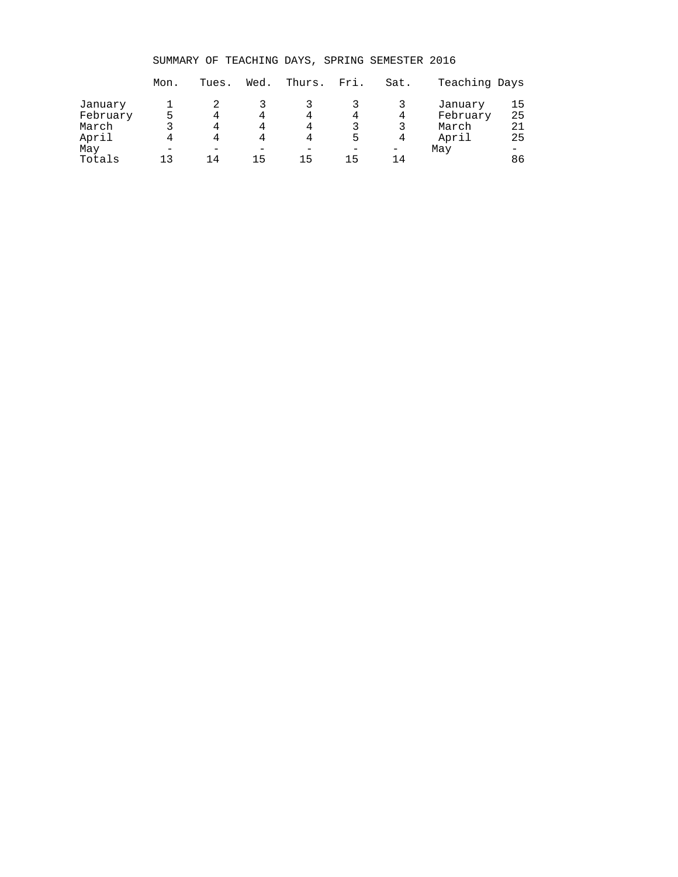SUMMARY OF TEACHING DAYS, SPRING SEMESTER 2016

|          | Mon. | Tues. | Wed. | Thurs. | Fri. | Sat. | Teaching Days |    |
|----------|------|-------|------|--------|------|------|---------------|----|
| January  |      |       |      |        |      |      | January       | 15 |
| February |      | 4     | 4    | 4      |      | 4    | February      | 25 |
| March    |      | 4     |      |        |      | २    | March         | 21 |
| April    |      | 4     | 4    |        | 5    | 4    | April         | 25 |
| May      |      |       |      |        |      |      | May           |    |
| Totals   | 1 3  | 14    | 15   | 15     | 15   | 14   |               | 86 |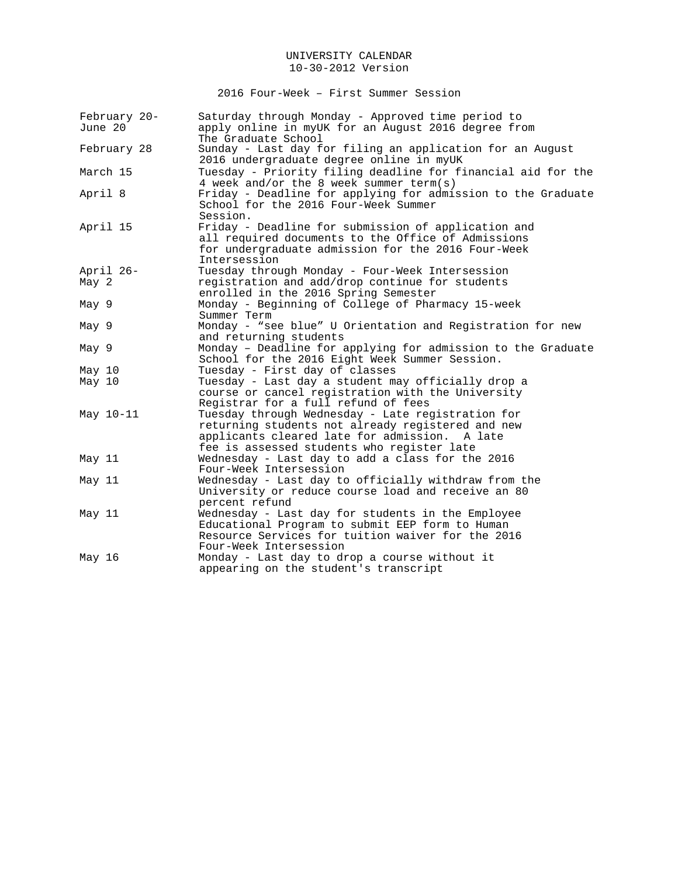2016 Four-Week – First Summer Session

| February 20-<br>June 20 | Saturday through Monday - Approved time period to<br>apply online in myUK for an August 2016 degree from<br>The Graduate School                                                                          |
|-------------------------|----------------------------------------------------------------------------------------------------------------------------------------------------------------------------------------------------------|
| February 28             | Sunday - Last day for filing an application for an August<br>2016 undergraduate degree online in myUK                                                                                                    |
| March 15                | Tuesday - Priority filing deadline for financial aid for the<br>4 week and/or the 8 week summer term(s)                                                                                                  |
| April 8                 | Friday - Deadline for applying for admission to the Graduate<br>School for the 2016 Four-Week Summer<br>Session.                                                                                         |
| April 15                | Friday - Deadline for submission of application and<br>all required documents to the Office of Admissions<br>for undergraduate admission for the 2016 Four-Week<br>Intersession                          |
| April 26-               | Tuesday through Monday - Four-Week Intersession                                                                                                                                                          |
| May 2                   | registration and add/drop continue for students<br>enrolled in the 2016 Spring Semester                                                                                                                  |
| May 9                   | Monday - Beginning of College of Pharmacy 15-week<br>Summer Term                                                                                                                                         |
| May 9                   | Monday - "see blue" U Orientation and Registration for new<br>and returning students                                                                                                                     |
| May 9                   | Monday - Deadline for applying for admission to the Graduate<br>School for the 2016 Eight Week Summer Session.                                                                                           |
| May 10                  | Tuesday - First day of classes                                                                                                                                                                           |
| May 10                  | Tuesday - Last day a student may officially drop a<br>course or cancel registration with the University<br>Registrar for a full refund of fees                                                           |
| May 10-11               | Tuesday through Wednesday - Late registration for<br>returning students not already registered and new<br>applicants cleared late for admission.<br>A late<br>fee is assessed students who register late |
| May 11                  | Wednesday - Last day to add a class for the 2016<br>Four-Week Intersession                                                                                                                               |
| May 11                  | Wednesday - Last day to officially withdraw from the<br>University or reduce course load and receive an 80<br>percent refund                                                                             |
| May 11                  | Wednesday - Last day for students in the Employee<br>Educational Program to submit EEP form to Human<br>Resource Services for tuition waiver for the 2016<br>Four-Week Intersession                      |
| May 16                  | Monday - Last day to drop a course without it<br>appearing on the student's transcript                                                                                                                   |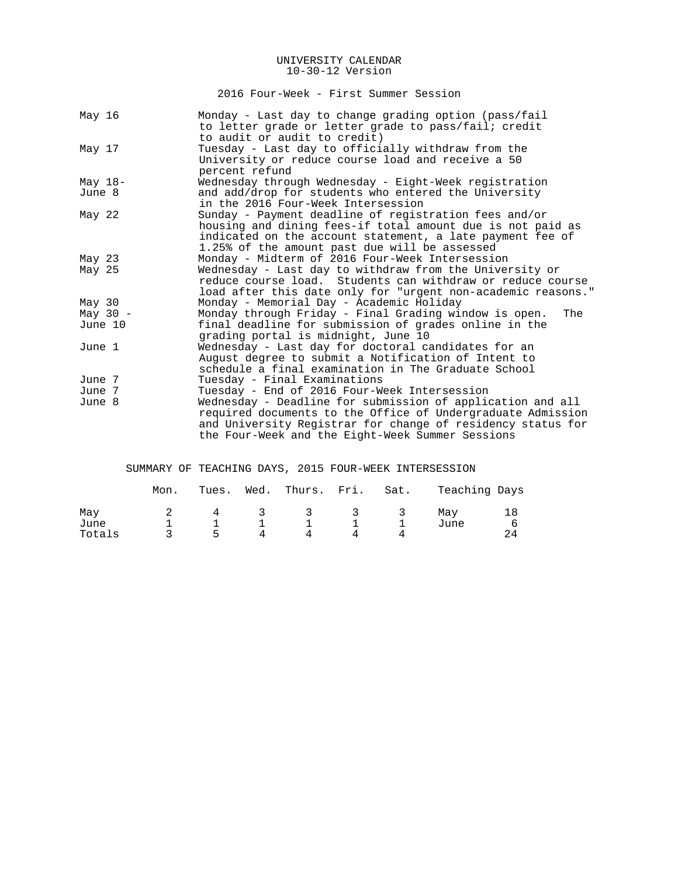2016 Four-Week - First Summer Session

| May 16            | Monday - Last day to change grading option (pass/fail<br>to letter grade or letter grade to pass/fail; credit |
|-------------------|---------------------------------------------------------------------------------------------------------------|
|                   | to audit or audit to credit)                                                                                  |
| May 17            | Tuesday - Last day to officially withdraw from the                                                            |
|                   | University or reduce course load and receive a 50                                                             |
|                   | percent refund                                                                                                |
| May $18-$         | Wednesday through Wednesday - Eight-Week registration                                                         |
| June 8            | and add/drop for students who entered the University                                                          |
|                   | in the 2016 Four-Week Intersession                                                                            |
| May 22            | Sunday - Payment deadline of registration fees and/or                                                         |
|                   | housing and dining fees-if total amount due is not paid as                                                    |
|                   | indicated on the account statement, a late payment fee of                                                     |
|                   | 1.25% of the amount past due will be assessed                                                                 |
| May $23$          | Monday - Midterm of 2016 Four-Week Intersession                                                               |
| May 25            | Wednesday - Last day to withdraw from the University or                                                       |
|                   | reduce course load. Students can withdraw or reduce course                                                    |
|                   | load after this date only for "urgent non-academic reasons."                                                  |
| May <sub>30</sub> | Monday - Memorial Day - Academic Holiday                                                                      |
| May $30 -$        | Monday through Friday - Final Grading window is open.<br>The                                                  |
| June 10           | final deadline for submission of grades online in the                                                         |
|                   | grading portal is midnight, June 10                                                                           |
| June 1            | Wednesday - Last day for doctoral candidates for an                                                           |
|                   | August degree to submit a Notification of Intent to                                                           |
|                   | schedule a final examination in The Graduate School                                                           |
| June 7            | Tuesday - Final Examinations                                                                                  |
| June 7            | Tuesday - End of 2016 Four-Week Intersession                                                                  |
| June 8            | Wednesday - Deadline for submission of application and all                                                    |
|                   | required documents to the Office of Undergraduate Admission                                                   |
|                   | and University Registrar for change of residency status for                                                   |
|                   | the Four-Week and the Eight-Week Summer Sessions                                                              |

# SUMMARY OF TEACHING DAYS, 2015 FOUR-WEEK INTERSESSION

|                       | Mon. | Tues.   | Wed.              | Thurs. Fri. Sat. |         |    | Teaching Days |  |
|-----------------------|------|---------|-------------------|------------------|---------|----|---------------|--|
| May<br>June<br>Totals |      | 4<br>Б. | $\mathbf{3}$<br>4 | - 3<br>Δ         | 3.<br>4 | -3 | May<br>June   |  |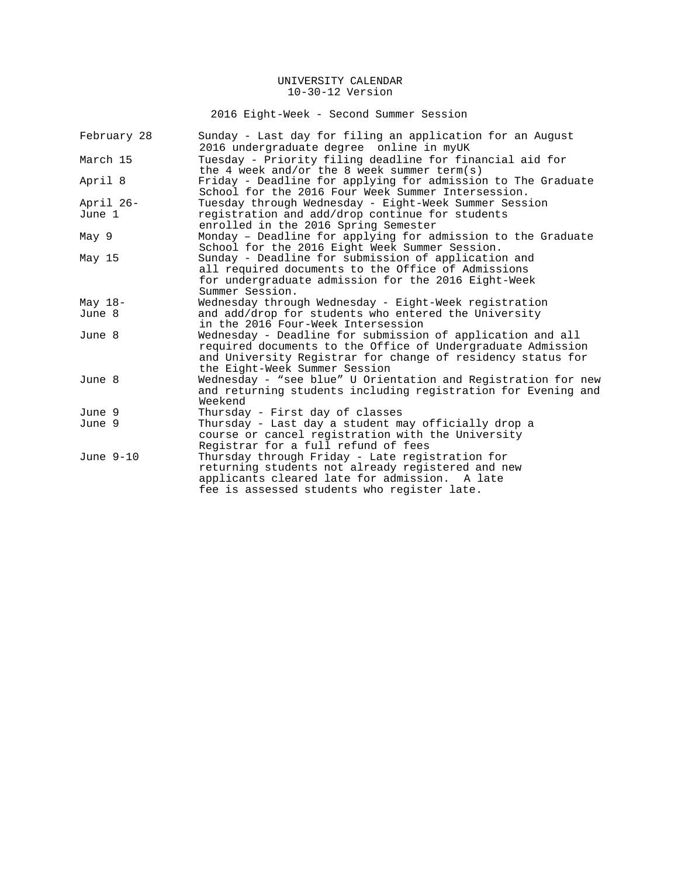2016 Eight-Week - Second Summer Session

| Sunday - Last day for filing an application for an August     |
|---------------------------------------------------------------|
| 2016 undergraduate degree online in myUK                      |
| Tuesday - Priority filing deadline for financial aid for      |
| the 4 week and/or the 8 week summer term(s)                   |
| Friday - Deadline for applying for admission to The Graduate  |
| School for the 2016 Four Week Summer Intersession.            |
| Tuesday through Wednesday - Eight-Week Summer Session         |
| registration and add/drop continue for students               |
| enrolled in the 2016 Spring Semester                          |
| Monday - Deadline for applying for admission to the Graduate  |
| School for the 2016 Eight Week Summer Session.                |
| Sunday - Deadline for submission of application and           |
| all required documents to the Office of Admissions            |
| for undergraduate admission for the 2016 Eight-Week           |
| Summer Session.                                               |
| Wednesday through Wednesday - Eight-Week registration         |
| and add/drop for students who entered the University          |
| in the 2016 Four-Week Intersession                            |
| Wednesday - Deadline for submission of application and all    |
| required documents to the Office of Undergraduate Admission   |
| and University Registrar for change of residency status for   |
| the Eight-Week Summer Session                                 |
| Wednesday - "see blue" U Orientation and Registration for new |
| and returning students including registration for Evening and |
| Weekend                                                       |
| Thursday - First day of classes                               |
| Thursday - Last day a student may officially drop a           |
| course or cancel registration with the University             |
| Registrar for a full refund of fees                           |
| Thursday through Friday - Late registration for               |
| returning students not already registered and new             |
| applicants cleared late for admission. A late                 |
| fee is assessed students who register late.                   |
|                                                               |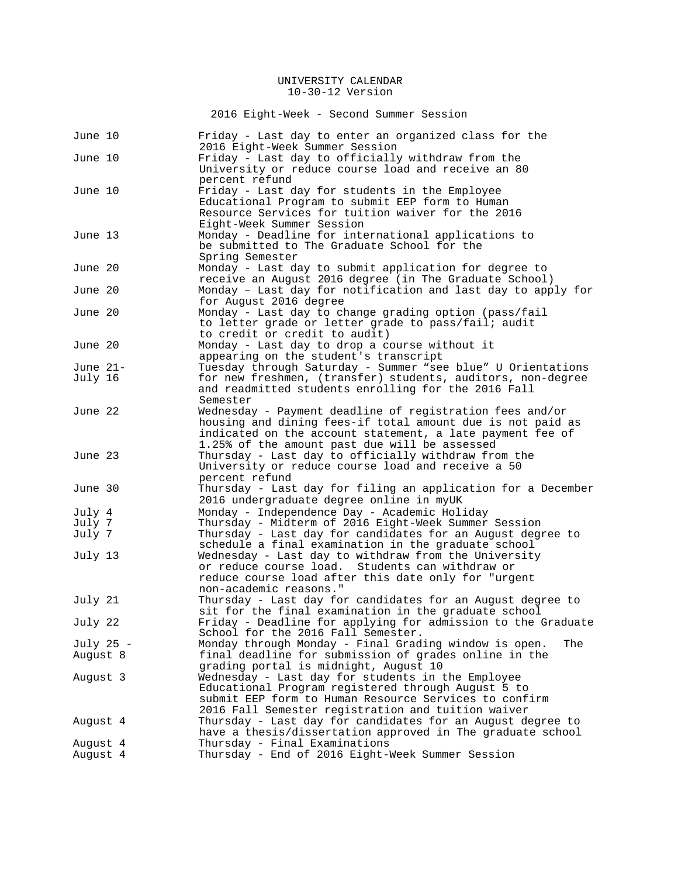2016 Eight-Week - Second Summer Session

| June 10    | Friday - Last day to enter an organized class for the<br>2016 Eight-Week Summer Session                                                                                                                                              |
|------------|--------------------------------------------------------------------------------------------------------------------------------------------------------------------------------------------------------------------------------------|
| June 10    | Friday - Last day to officially withdraw from the<br>University or reduce course load and receive an 80                                                                                                                              |
| June 10    | percent refund<br>Friday - Last day for students in the Employee<br>Educational Program to submit EEP form to Human<br>Resource Services for tuition waiver for the 2016                                                             |
| June 13    | Eight-Week Summer Session<br>Monday - Deadline for international applications to<br>be submitted to The Graduate School for the<br>Spring Semester                                                                                   |
| June 20    | Monday - Last day to submit application for degree to<br>receive an August 2016 degree (in The Graduate School)                                                                                                                      |
| June 20    | Monday - Last day for notification and last day to apply for<br>for August 2016 degree                                                                                                                                               |
| June 20    | Monday - Last day to change grading option (pass/fail<br>to letter grade or letter grade to pass/fail; audit<br>to credit or credit to audit)                                                                                        |
| June 20    | Monday - Last day to drop a course without it<br>appearing on the student's transcript                                                                                                                                               |
| June $21-$ | Tuesday through Saturday - Summer "see blue" U Orientations                                                                                                                                                                          |
| July 16    | for new freshmen, (transfer) students, auditors, non-degree<br>and readmitted students enrolling for the 2016 Fall<br>Semester                                                                                                       |
| June 22    | Wednesday - Payment deadline of registration fees and/or<br>housing and dining fees-if total amount due is not paid as<br>indicated on the account statement, a late payment fee of<br>1.25% of the amount past due will be assessed |
| June 23    | Thursday - Last day to officially withdraw from the<br>University or reduce course load and receive a 50<br>percent refund                                                                                                           |
| June 30    | Thursday - Last day for filing an application for a December<br>2016 undergraduate degree online in myUK                                                                                                                             |
| July 4     | Monday - Independence Day - Academic Holiday                                                                                                                                                                                         |
| July 7     | Thursday - Midterm of 2016 Eight-Week Summer Session                                                                                                                                                                                 |
| July 7     | Thursday - Last day for candidates for an August degree to<br>schedule a final examination in the graduate school                                                                                                                    |
| July 13    | Wednesday - Last day to withdraw from the University<br>or reduce course load. Students can withdraw or<br>reduce course load after this date only for "urgent<br>non-academic reasons."                                             |
| July 21    | Thursday - Last day for candidates for an August degree to<br>sit for the final examination in the graduate school                                                                                                                   |
| July 22    | Friday - Deadline for applying for admission to the Graduate<br>School for the 2016 Fall Semester.                                                                                                                                   |
| July 25 -  | Monday through Monday - Final Grading window is open.<br>The                                                                                                                                                                         |
| August 8   | final deadline for submission of grades online in the<br>grading portal is midnight, August 10                                                                                                                                       |
| August 3   | Wednesday - Last day for students in the Employee<br>Educational Program registered through August 5 to<br>submit EEP form to Human Resource Services to confirm<br>2016 Fall Semester registration and tuition waiver               |
| August 4   | Thursday - Last day for candidates for an August degree to<br>have a thesis/dissertation approved in The graduate school                                                                                                             |
| August 4   | Thursday - Final Examinations                                                                                                                                                                                                        |
| August 4   | Thursday - End of 2016 Eight-Week Summer Session                                                                                                                                                                                     |